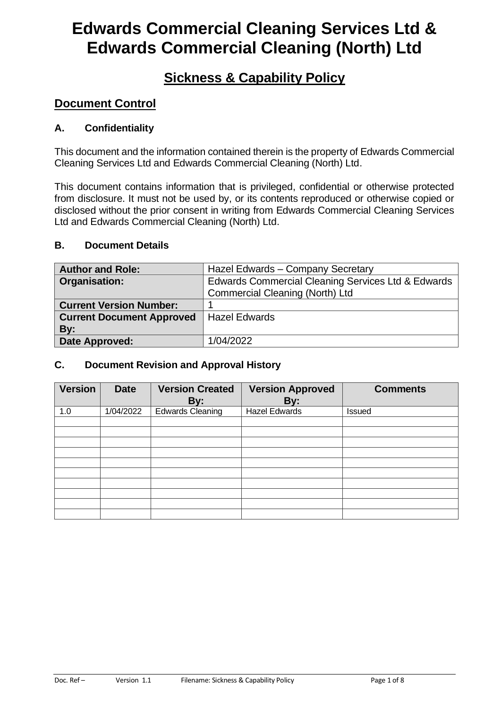# **Edwards Commercial Cleaning Services Ltd & Edwards Commercial Cleaning (North) Ltd**

## **Sickness & Capability Policy**

### **Document Control**

#### **A. Confidentiality**

This document and the information contained therein is the property of Edwards Commercial Cleaning Services Ltd and Edwards Commercial Cleaning (North) Ltd.

This document contains information that is privileged, confidential or otherwise protected from disclosure. It must not be used by, or its contents reproduced or otherwise copied or disclosed without the prior consent in writing from Edwards Commercial Cleaning Services Ltd and Edwards Commercial Cleaning (North) Ltd.

#### **B. Document Details**

| <b>Author and Role:</b>          | Hazel Edwards - Company Secretary                  |  |
|----------------------------------|----------------------------------------------------|--|
| Organisation:                    | Edwards Commercial Cleaning Services Ltd & Edwards |  |
|                                  | Commercial Cleaning (North) Ltd                    |  |
| <b>Current Version Number:</b>   |                                                    |  |
| <b>Current Document Approved</b> | <b>Hazel Edwards</b>                               |  |
| By:                              |                                                    |  |
| Date Approved:                   | 1/04/2022                                          |  |

#### **C. Document Revision and Approval History**

| <b>Version</b> | <b>Date</b> | <b>Version Created</b><br>By: | <b>Version Approved</b><br>By: | <b>Comments</b> |
|----------------|-------------|-------------------------------|--------------------------------|-----------------|
| 1.0            | 1/04/2022   | <b>Edwards Cleaning</b>       | <b>Hazel Edwards</b>           | <b>Issued</b>   |
|                |             |                               |                                |                 |
|                |             |                               |                                |                 |
|                |             |                               |                                |                 |
|                |             |                               |                                |                 |
|                |             |                               |                                |                 |
|                |             |                               |                                |                 |
|                |             |                               |                                |                 |
|                |             |                               |                                |                 |
|                |             |                               |                                |                 |
|                |             |                               |                                |                 |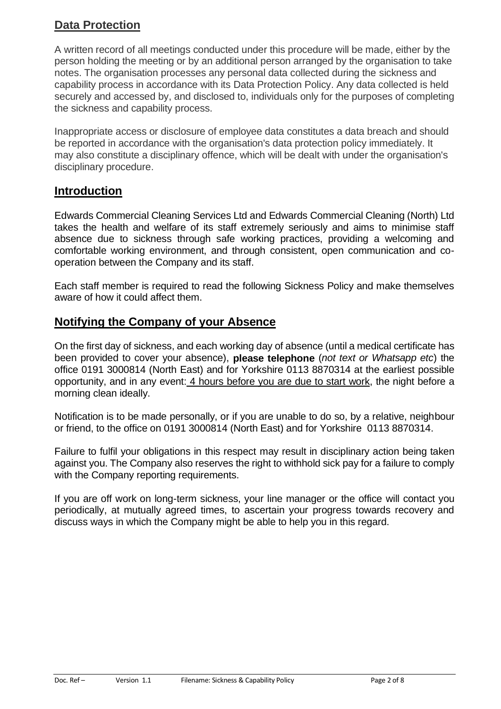### **Data Protection**

A written record of all meetings conducted under this procedure will be made, either by the person holding the meeting or by an additional person arranged by the organisation to take notes. The organisation processes any personal data collected during the sickness and capability process in accordance with its [Data Protection Policy.](http://www.xperthr.co.uk/policies-and-documents/data-protection-policy-compliant-with-the-gdpr-/162690/) Any data collected is held securely and accessed by, and disclosed to, individuals only for the purposes of completing the sickness and capability process.

Inappropriate access or disclosure of employee data constitutes a data breach and should be reported in accordance with the organisation's data protection policy immediately. It may also constitute a disciplinary offence, which will be dealt with under the organisation's disciplinary procedure.

### **Introduction**

Edwards Commercial Cleaning Services Ltd and Edwards Commercial Cleaning (North) Ltd takes the health and welfare of its staff extremely seriously and aims to minimise staff absence due to sickness through safe working practices, providing a welcoming and comfortable working environment, and through consistent, open communication and cooperation between the Company and its staff.

Each staff member is required to read the following Sickness Policy and make themselves aware of how it could affect them.

### **Notifying the Company of your Absence**

On the first day of sickness, and each working day of absence (until a medical certificate has been provided to cover your absence), **please telephone** (*not text or Whatsapp etc*) the office 0191 3000814 (North East) and for Yorkshire 0113 8870314 at the earliest possible opportunity, and in any event: 4 hours before you are due to start work, the night before a morning clean ideally.

Notification is to be made personally, or if you are unable to do so, by a relative, neighbour or friend, to the office on 0191 3000814 (North East) and for Yorkshire 0113 8870314.

Failure to fulfil your obligations in this respect may result in disciplinary action being taken against you. The Company also reserves the right to withhold sick pay for a failure to comply with the Company reporting requirements.

If you are off work on long-term sickness, your line manager or the office will contact you periodically, at mutually agreed times, to ascertain your progress towards recovery and discuss ways in which the Company might be able to help you in this regard.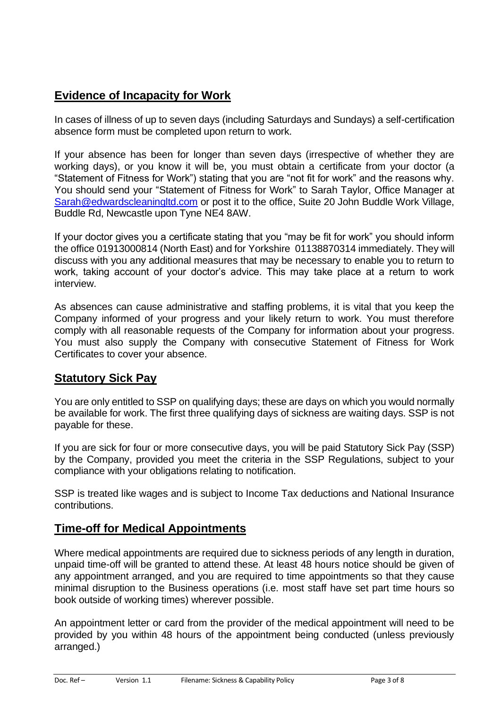### **Evidence of Incapacity for Work**

In cases of illness of up to seven days (including Saturdays and Sundays) a self-certification absence form must be completed upon return to work.

If your absence has been for longer than seven days (irrespective of whether they are working days), or you know it will be, you must obtain a certificate from your doctor (a "Statement of Fitness for Work") stating that you are "not fit for work" and the reasons why. You should send your "Statement of Fitness for Work" to Sarah Taylor, Office Manager at [Sarah@edwardscleaningltd.com](mailto:Sarah@edwardscleaningltd.com) or post it to the office, Suite 20 John Buddle Work Village, Buddle Rd, Newcastle upon Tyne NE4 8AW.

If your doctor gives you a certificate stating that you "may be fit for work" you should inform the office 01913000814 (North East) and for Yorkshire 01138870314 immediately. They will discuss with you any additional measures that may be necessary to enable you to return to work, taking account of your doctor's advice. This may take place at a return to work interview.

As absences can cause administrative and staffing problems, it is vital that you keep the Company informed of your progress and your likely return to work. You must therefore comply with all reasonable requests of the Company for information about your progress. You must also supply the Company with consecutive Statement of Fitness for Work Certificates to cover your absence.

### **Statutory Sick Pay**

You are only entitled to SSP on qualifying days; these are days on which you would normally be available for work. The first three qualifying days of sickness are waiting days. SSP is not payable for these.

If you are sick for four or more consecutive days, you will be paid Statutory Sick Pay (SSP) by the Company, provided you meet the criteria in the SSP Regulations, subject to your compliance with your obligations relating to notification.

SSP is treated like wages and is subject to Income Tax deductions and National Insurance contributions.

### **Time-off for Medical Appointments**

Where medical appointments are required due to sickness periods of any length in duration, unpaid time-off will be granted to attend these. At least 48 hours notice should be given of any appointment arranged, and you are required to time appointments so that they cause minimal disruption to the Business operations (i.e. most staff have set part time hours so book outside of working times) wherever possible.

An appointment letter or card from the provider of the medical appointment will need to be provided by you within 48 hours of the appointment being conducted (unless previously arranged.)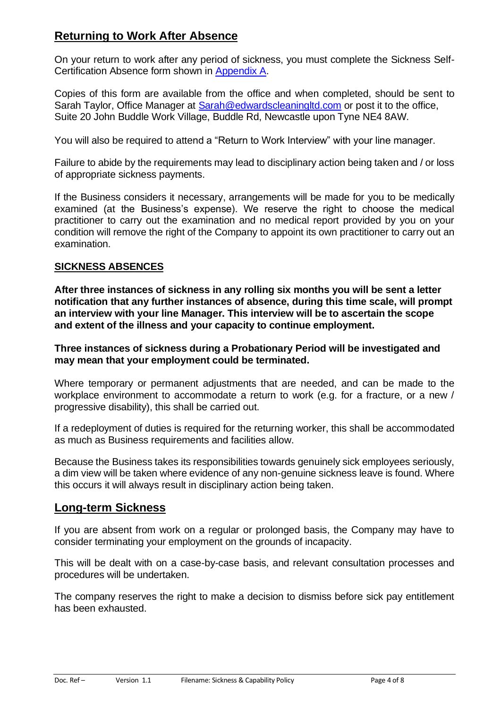### **Returning to Work After Absence**

On your return to work after any period of sickness, you must complete the Sickness Self-Certification Absence form shown in [Appendix A.](#page-4-0)

Copies of this form are available from the office and when completed, should be sent to Sarah Taylor, Office Manager at [Sarah@edwardscleaningltd.com](mailto:Sarah@edwardscleaningltd.com) or post it to the office, Suite 20 John Buddle Work Village, Buddle Rd, Newcastle upon Tyne NE4 8AW.

You will also be required to attend a "Return to Work Interview" with your line manager.

Failure to abide by the requirements may lead to disciplinary action being taken and / or loss of appropriate sickness payments.

If the Business considers it necessary, arrangements will be made for you to be medically examined (at the Business's expense). We reserve the right to choose the medical practitioner to carry out the examination and no medical report provided by you on your condition will remove the right of the Company to appoint its own practitioner to carry out an examination.

#### **SICKNESS ABSENCES**

**After three instances of sickness in any rolling six months you will be sent a letter notification that any further instances of absence, during this time scale, will prompt an interview with your line Manager. This interview will be to ascertain the scope and extent of the illness and your capacity to continue employment.**

**Three instances of sickness during a Probationary Period will be investigated and may mean that your employment could be terminated.**

Where temporary or permanent adjustments that are needed, and can be made to the workplace environment to accommodate a return to work (e.g. for a fracture, or a new / progressive disability), this shall be carried out.

If a redeployment of duties is required for the returning worker, this shall be accommodated as much as Business requirements and facilities allow.

Because the Business takes its responsibilities towards genuinely sick employees seriously, a dim view will be taken where evidence of any non-genuine sickness leave is found. Where this occurs it will always result in disciplinary action being taken.

#### **Long-term Sickness**

If you are absent from work on a regular or prolonged basis, the Company may have to consider terminating your employment on the grounds of incapacity.

This will be dealt with on a case-by-case basis, and relevant consultation processes and procedures will be undertaken.

The company reserves the right to make a decision to dismiss before sick pay entitlement has been exhausted.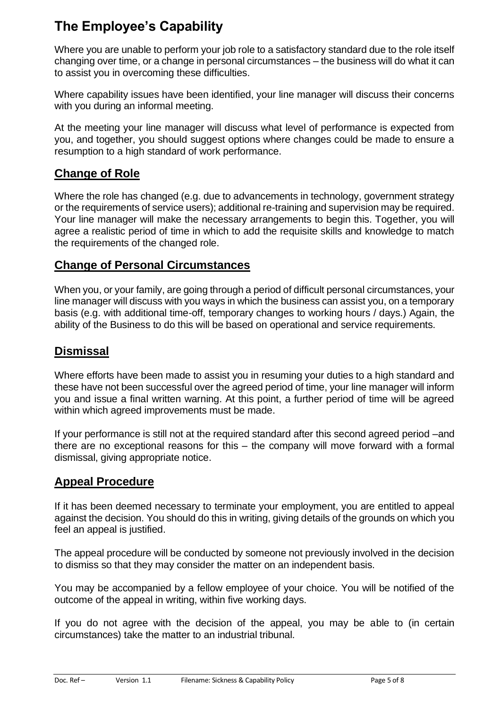## **The Employee's Capability**

Where you are unable to perform your job role to a satisfactory standard due to the role itself changing over time, or a change in personal circumstances – the business will do what it can to assist you in overcoming these difficulties.

Where capability issues have been identified, your line manager will discuss their concerns with you during an informal meeting.

At the meeting your line manager will discuss what level of performance is expected from you, and together, you should suggest options where changes could be made to ensure a resumption to a high standard of work performance.

### **Change of Role**

Where the role has changed (e.g. due to advancements in technology, government strategy or the requirements of service users); additional re-training and supervision may be required. Your line manager will make the necessary arrangements to begin this. Together, you will agree a realistic period of time in which to add the requisite skills and knowledge to match the requirements of the changed role.

### **Change of Personal Circumstances**

When you, or your family, are going through a period of difficult personal circumstances, your line manager will discuss with you ways in which the business can assist you, on a temporary basis (e.g. with additional time-off, temporary changes to working hours / days.) Again, the ability of the Business to do this will be based on operational and service requirements.

### **Dismissal**

Where efforts have been made to assist you in resuming your duties to a high standard and these have not been successful over the agreed period of time, your line manager will inform you and issue a final written warning. At this point, a further period of time will be agreed within which agreed improvements must be made.

If your performance is still not at the required standard after this second agreed period –and there are no exceptional reasons for this – the company will move forward with a formal dismissal, giving appropriate notice.

### **Appeal Procedure**

If it has been deemed necessary to terminate your employment, you are entitled to appeal against the decision. You should do this in writing, giving details of the grounds on which you feel an appeal is justified.

The appeal procedure will be conducted by someone not previously involved in the decision to dismiss so that they may consider the matter on an independent basis.

You may be accompanied by a fellow employee of your choice. You will be notified of the outcome of the appeal in writing, within five working days.

<span id="page-4-0"></span>If you do not agree with the decision of the appeal, you may be able to (in certain circumstances) take the matter to an industrial tribunal.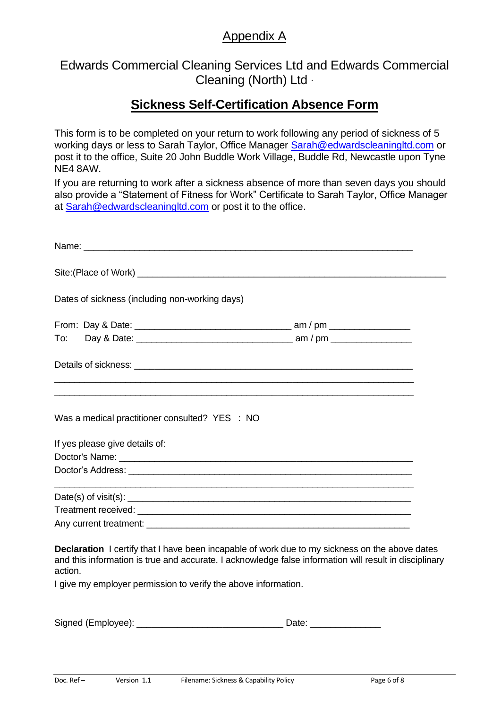### Appendix A

### Edwards Commercial Cleaning Services Ltd and Edwards Commercial Cleaning (North) Ltd .

### **Sickness Self-Certification Absence Form**

This form is to be completed on your return to work following any period of sickness of 5 working days or less to Sarah Taylor, Office Manager [Sarah@edwardscleaningltd.com](mailto:Sarah@edwardscleaningltd.com) or post it to the office, Suite 20 John Buddle Work Village, Buddle Rd, Newcastle upon Tyne NE4 8AW.

If you are returning to work after a sickness absence of more than seven days you should also provide a "Statement of Fitness for Work" Certificate to Sarah Taylor, Office Manager at [Sarah@edwardscleaningltd.com](mailto:Sarah@edwardscleaningltd.com) or post it to the office.

| Dates of sickness (including non-working days)                                                                                                                                                                             |                                                                                                                      |  |  |  |
|----------------------------------------------------------------------------------------------------------------------------------------------------------------------------------------------------------------------------|----------------------------------------------------------------------------------------------------------------------|--|--|--|
|                                                                                                                                                                                                                            |                                                                                                                      |  |  |  |
| To:                                                                                                                                                                                                                        |                                                                                                                      |  |  |  |
|                                                                                                                                                                                                                            |                                                                                                                      |  |  |  |
| Was a medical practitioner consulted? YES : NO<br>If yes please give details of:                                                                                                                                           |                                                                                                                      |  |  |  |
|                                                                                                                                                                                                                            |                                                                                                                      |  |  |  |
|                                                                                                                                                                                                                            |                                                                                                                      |  |  |  |
|                                                                                                                                                                                                                            | <u> 1989 - Andrea Santa Andrea Santa Andrea Santa Andrea Santa Andrea Santa Andrea Santa Andrea Santa Andrea San</u> |  |  |  |
|                                                                                                                                                                                                                            |                                                                                                                      |  |  |  |
|                                                                                                                                                                                                                            |                                                                                                                      |  |  |  |
| <b>Declaration</b> I certify that I have been incapable of work due to my sickness on the above dates<br>and this information is true and accurate. I acknowledge false information will result in disciplinary<br>action. |                                                                                                                      |  |  |  |
| I give my employer permission to verify the above information.                                                                                                                                                             |                                                                                                                      |  |  |  |

Signed (Employee): \_\_\_\_\_\_\_\_\_\_\_\_\_\_\_\_\_\_\_\_\_\_\_\_\_\_\_\_\_ Date: \_\_\_\_\_\_\_\_\_\_\_\_\_\_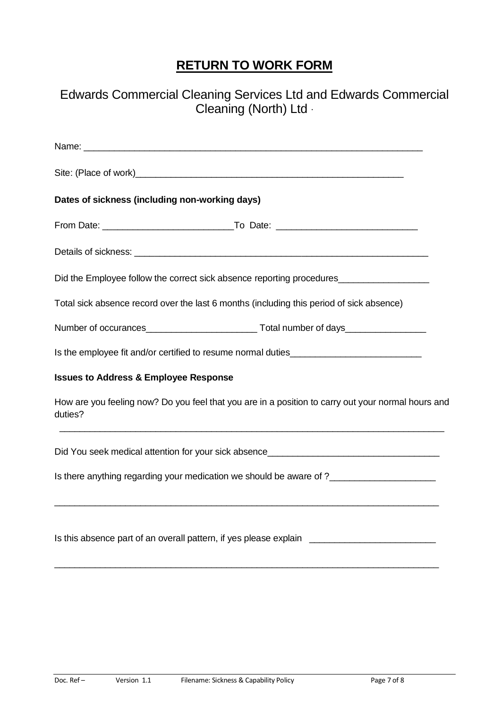## **RETURN TO WORK FORM**

### Edwards Commercial Cleaning Services Ltd and Edwards Commercial Cleaning (North) Ltd .

| Dates of sickness (including non-working days)                                                                                                                                               |
|----------------------------------------------------------------------------------------------------------------------------------------------------------------------------------------------|
|                                                                                                                                                                                              |
|                                                                                                                                                                                              |
| Did the Employee follow the correct sick absence reporting procedures__________________                                                                                                      |
| Total sick absence record over the last 6 months (including this period of sick absence)                                                                                                     |
|                                                                                                                                                                                              |
| Is the employee fit and/or certified to resume normal duties___________________________                                                                                                      |
| <b>Issues to Address &amp; Employee Response</b>                                                                                                                                             |
| How are you feeling now? Do you feel that you are in a position to carry out your normal hours and<br>duties?                                                                                |
|                                                                                                                                                                                              |
| Is there anything regarding your medication we should be aware of ?<br><u> 1989 - Johann Harry Harry Harry Harry Harry Harry Harry Harry Harry Harry Harry Harry Harry Harry Harry Harry</u> |
| Is this absence part of an overall pattern, if yes please explain __________________________________                                                                                         |